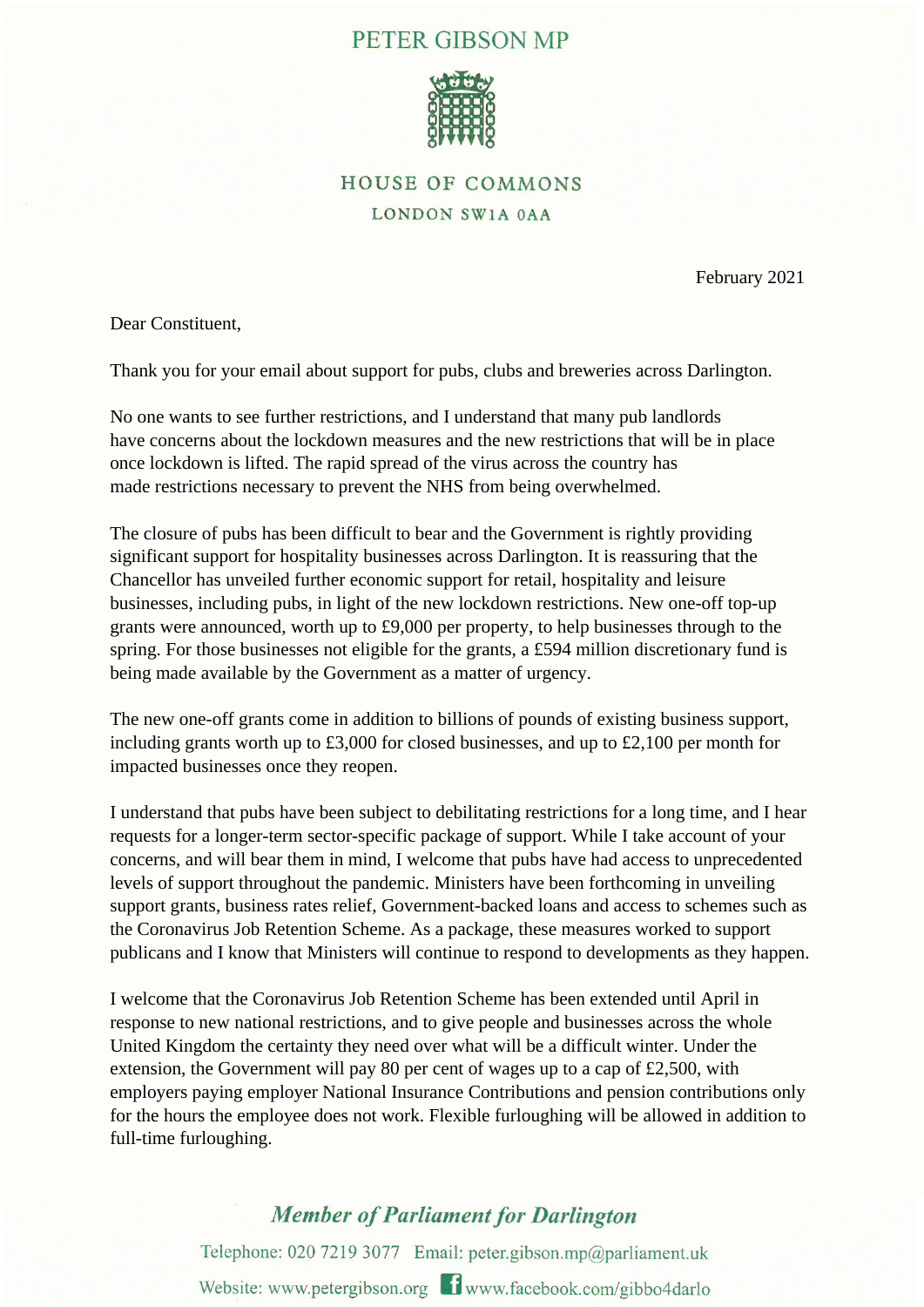## PETER GIBSON MP



## **HOUSE OF COMMONS** LONDON SW1A 0AA

February 2021

Dear Constituent,

Thank you for your email about support for pubs, clubs and breweries across Darlington.

No one wants to see further restrictions, and I understand that many pub landlords have concerns about the lockdown measures and the new restrictions that will be in place once lockdown is lifted. The rapid spread of the virus across the country has made restrictions necessary to prevent the NHS from being overwhelmed.

The closure of pubs has been difficult to bear and the Government is rightly providing significant support for hospitality businesses across Darlington. It is reassuring that the Chancellor has unveiled further economic support for retail, hospitality and leisure businesses, including pubs, in light of the new lockdown restrictions. New one-off top-up grants were announced, worth up to £9,000 per property, to help businesses through to the spring. For those businesses not eligible for the grants, a £594 million discretionary fund is being made available by the Government as a matter of urgency.

The new one-off grants come in addition to billions of pounds of existing business support, including grants worth up to £3,000 for closed businesses, and up to £2,100 per month for impacted businesses once they reopen.

I understand that pubs have been subject to debilitating restrictions for a long time, and I hear requests for a longer-term sector-specific package of support. While I take account of your concerns, and will bear them in mind, I welcome that pubs have had access to unprecedented levels of support throughout the pandemic. Ministers have been forthcoming in unveiling support grants, business rates relief, Government-backed loans and access to schemes such as the Coronavirus Job Retention Scheme. As a package, these measures worked to support publicans and I know that Ministers will continue to respond to developments as they happen.

I welcome that the Coronavirus Job Retention Scheme has been extended until April in response to new national restrictions, and to give people and businesses across the whole United Kingdom the certainty they need over what will be a difficult winter. Under the extension, the Government will pay 80 per cent of wages up to a cap of £2,500, with employers paying employer National Insurance Contributions and pension contributions only for the hours the employee does not work. Flexible furloughing will be allowed in addition to full-time furloughing.

## **Member of Parliament for Darlington**

Telephone: 020 7219 3077 Email: peter.gibson.mp@parliament.uk Website: www.petergibson.org 1 www.facebook.com/gibbo4darlo